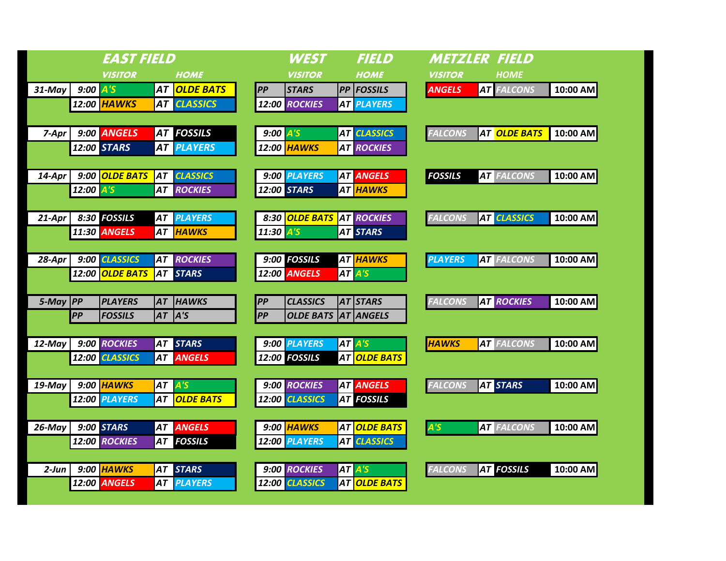| <b>EAST FIELD</b> |                         |                    |    |                                      |  |               | <b>WEST</b>      |  | <b>FIELD</b>                    |  | <b>METZLER FIELD</b> |  |                           |          |
|-------------------|-------------------------|--------------------|----|--------------------------------------|--|---------------|------------------|--|---------------------------------|--|----------------------|--|---------------------------|----------|
|                   |                         | <b>VISITOR</b>     |    | <b>HOME</b>                          |  |               | <b>VISITOR</b>   |  | <b>HOME</b>                     |  | <b>VISITOR</b>       |  | <b>HOME</b>               |          |
| 31-May            | $9:00$ $\overline{A'S}$ |                    |    | AT <mark>OLDE BATS</mark>            |  | <b>PP</b>     | <b>STARS</b>     |  | <b>PP FOSSILS</b>               |  | <b>ANGELS</b>        |  | <b>AT FALCONS</b>         | 10:00 AM |
|                   |                         | 12:00 <i>HAWKS</i> |    | <b>AT CLASSICS</b>                   |  |               | 12:00 ROCKIES    |  | <b>AT PLAYERS</b>               |  |                      |  |                           |          |
|                   |                         |                    |    |                                      |  |               |                  |  |                                 |  |                      |  |                           |          |
| 7-Apr             |                         | 9:00 ANGELS        |    | <b>AT FOSSILS</b>                    |  | $9:00$ $A'S$  |                  |  | <b>AT CLASSICS</b>              |  | <b>FALCONS</b>       |  | AT <mark>OLDE BATS</mark> | 10:00 AM |
|                   |                         | 12:00 STARS        |    | <b>AT PLAYERS</b>                    |  |               | 12:00 HAWKS      |  | <b>AT ROCKIES</b>               |  |                      |  |                           |          |
|                   |                         |                    |    |                                      |  |               |                  |  |                                 |  |                      |  |                           |          |
| 14-Apr            |                         | 9:00 OLDE BATS     |    | <b>AT CLASSICS</b>                   |  |               | 9:00 PLAYERS     |  | <b>AT ANGELS</b>                |  | <b>FOSSILS</b>       |  | <b>AT FALCONS</b>         | 10:00 AM |
|                   | 12:00 A'S               |                    |    | <b>AT ROCKIES</b>                    |  |               | 12:00 STARS      |  | <b>AT HAWKS</b>                 |  |                      |  |                           |          |
|                   |                         |                    |    |                                      |  |               |                  |  |                                 |  |                      |  |                           |          |
| 21-Apr            |                         | 8:30 FOSSILS       | AT | <b>PLAYERS</b>                       |  |               | 8:30 OLDE BATS   |  | <b>AT ROCKIES</b>               |  | <b>FALCONS</b>       |  | <b>AT CLASSICS</b>        | 10:00 AM |
|                   |                         | 11:30 ANGELS       |    | AT <mark>HAWKS</mark>                |  | $11:30$ $A'5$ |                  |  | <b>AT STARS</b>                 |  |                      |  |                           |          |
|                   |                         | 9:00 CLASSICS      |    |                                      |  |               | 9:00 FOSSILS     |  |                                 |  |                      |  |                           |          |
| 28-Apr            |                         | 12:00 OLDE BATS    |    | <b>AT ROCKIES</b><br><b>AT STARS</b> |  |               | 12:00 ANGELS     |  | AT <mark>HAWKS</mark><br>AT A'S |  | <b>PLAYERS</b>       |  | <b>AT FALCONS</b>         | 10:00 AM |
|                   |                         |                    |    |                                      |  |               |                  |  |                                 |  |                      |  |                           |          |
| 5-May PP          |                         | <b>PLAYERS</b>     | AT | <b>HAWKS</b>                         |  | PP            | <b>CLASSICS</b>  |  | AT STARS                        |  | <b>FALCONS</b>       |  | <b>AT ROCKIES</b>         | 10:00 AM |
|                   | PP                      | <b>FOSSILS</b>     |    | $AT$ $A'S$                           |  | <b>PP</b>     | <b>OLDE BATS</b> |  | <b>AT ANGELS</b>                |  |                      |  |                           |          |
|                   |                         |                    |    |                                      |  |               |                  |  |                                 |  |                      |  |                           |          |
| 12-May            |                         | 9:00 ROCKIES       |    | AT STARS                             |  |               | 9:00 PLAYERS     |  | AT A'S                          |  | <b>HAWKS</b>         |  | <b>AT FALCONS</b>         | 10:00 AM |
|                   |                         | 12:00 CLASSICS     |    | <b>AT ANGELS</b>                     |  |               | 12:00 FOSSILS    |  | AT OLDE BATS                    |  |                      |  |                           |          |
|                   |                         |                    |    |                                      |  |               |                  |  |                                 |  |                      |  |                           |          |
| $19$ -May         |                         | 9:00 HAWKS         |    | AT A'S                               |  |               | 9:00 ROCKIES     |  | <b>AT ANGELS</b>                |  | <b>FALCONS</b>       |  | <b>AT STARS</b>           | 10:00 AM |
|                   |                         | 12:00 PLAYERS      | AT | <b>OLDE BATS</b>                     |  |               | 12:00 CLASSICS   |  | <b>AT FOSSILS</b>               |  |                      |  |                           |          |
|                   |                         |                    |    |                                      |  |               |                  |  |                                 |  |                      |  |                           |          |
| 26-May            |                         | <b>9:00 STARS</b>  |    | <b>AT ANGELS</b>                     |  |               | 9:00 HAWKS       |  | AT <mark>OLDE BATS </mark>      |  | $\mathsf{A}$ 's      |  | <b>AT FALCONS</b>         | 10:00 AM |
|                   |                         | 12:00 ROCKIES      |    | <b>AT FOSSILS</b>                    |  |               | 12:00 PLAYERS    |  | <b>AT CLASSICS</b>              |  |                      |  |                           |          |
|                   |                         |                    |    |                                      |  |               |                  |  |                                 |  |                      |  |                           |          |
| $2$ -Jun          |                         | 9:00 HAWKS         |    | AT STARS                             |  |               | 9:00 ROCKIES     |  | AT A'S                          |  | <b>FALCONS</b>       |  | <b>AT FOSSILS</b>         | 10:00 AM |
|                   |                         | 12:00 ANGELS       | AT | <b>PLAYERS</b>                       |  |               | 12:00 CLASSICS   |  | <b>AT OLDE BATS</b>             |  |                      |  |                           |          |